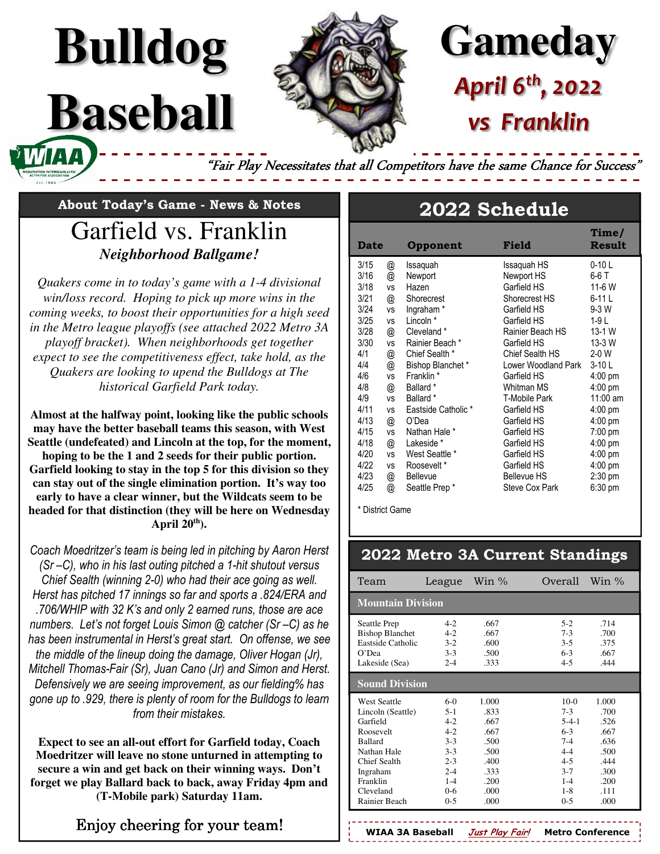# **Gameday** *April 6th, 2022 vs Franklin*

"Fair Play Necessitates that all Competitors have the same Chance for Success"

Garfield vs. Franklin *Neighborhood Ballgame!*  **About Today's Game - News & Notes** 

**Bulldog**

**Baseball** 

*Quakers come in to today's game with a 1-4 divisional win/loss record. Hoping to pick up more wins in the coming weeks, to boost their opportunities for a high seed in the Metro league playoffs (see attached 2022 Metro 3A playoff bracket). When neighborhoods get together expect to see the competitiveness effect, take hold, as the Quakers are looking to upend the Bulldogs at The historical Garfield Park today.* 

**Almost at the halfway point, looking like the public schools may have the better baseball teams this season, with West Seattle (undefeated) and Lincoln at the top, for the moment, hoping to be the 1 and 2 seeds for their public portion. Garfield looking to stay in the top 5 for this division so they can stay out of the single elimination portion. It's way too early to have a clear winner, but the Wildcats seem to be headed for that distinction (they will be here on Wednesday April 20th).** 

*Coach Moedritzer's team is being led in pitching by Aaron Herst (Sr –C), who in his last outing pitched a 1-hit shutout versus Chief Sealth (winning 2-0) who had their ace going as well. Herst has pitched 17 innings so far and sports a .824/ERA and .706/WHIP with 32 K's and only 2 earned runs, those are ace numbers. Let's not forget Louis Simon @ catcher (Sr –C) as he has been instrumental in Herst's great start. On offense, we see the middle of the lineup doing the damage, Oliver Hogan (Jr), Mitchell Thomas-Fair (Sr), Juan Cano (Jr) and Simon and Herst. Defensively we are seeing improvement, as our fielding% has gone up to .929, there is plenty of room for the Bulldogs to learn from their mistakes.* 

**Expect to see an all-out effort for Garfield today, Coach Moedritzer will leave no stone unturned in attempting to secure a win and get back on their winning ways. Don't forget we play Ballard back to back, away Friday 4pm and (T-Mobile park) Saturday 11am.** 

### Enjoy cheering for your team!

# **2022 Schedule**

| <b>Date</b> |           | Opponent              | Field               | Time/<br>Result   |
|-------------|-----------|-----------------------|---------------------|-------------------|
| 3/15        | @         | Issaquah              | Issaguah HS         | $0-10$ L          |
| 3/16        | @         | Newport               | Newport HS          | 6-6 T             |
| 3/18        | <b>VS</b> | Hazen                 | Garfield HS         | 11-6 W            |
| 3/21        | @         | Shorecrest            | Shorecrest HS       | 6-11 L            |
| 3/24        | <b>VS</b> | Ingraham <sup>*</sup> | Garfield HS         | $9-3$ W           |
| 3/25        | <b>VS</b> | Lincoln *             | Garfield HS         | 1-9 L             |
| 3/28        | @         | Cleveland *           | Rainier Beach HS    | 13-1 W            |
| 3/30        | <b>VS</b> | Rainier Beach *       | Garfield HS         | 13-3 W            |
| 4/1         | @         | Chief Sealth *        | Chief Sealth HS     | $2-0$ W           |
| 4/4         | @         | Bishop Blanchet*      | Lower Woodland Park | $3-10L$           |
| 4/6         | <b>VS</b> | Franklin <sup>*</sup> | Garfield HS         | $4:00$ pm         |
| 4/8         | @         | Ballard <sup>*</sup>  | Whitman MS          | $4:00$ pm         |
| 4/9         | <b>VS</b> | Ballard *             | T-Mobile Park       | $11:00$ am        |
| 4/11        | <b>VS</b> | Eastside Catholic *   | Garfield HS         | $4:00$ pm         |
| 4/13        | @         | O'Dea                 | Garfield HS         | $4:00$ pm         |
| 4/15        | <b>VS</b> | Nathan Hale *         | Garfield HS         | 7:00 pm           |
| 4/18        | @         | Lakeside *            | Garfield HS         | $4:00$ pm         |
| 4/20        | <b>VS</b> | West Seattle *        | Garfield HS         | $4:00$ pm         |
| 4/22        | <b>VS</b> | Roosevelt*            | Garfield HS         | $4:00$ pm         |
| 4/23        | @         | <b>Bellevue</b>       | <b>Bellevue HS</b>  | 2:30 pm           |
| 4/25        | @         | Seattle Prep*         | Steve Cox Park      | $6:30 \text{ pm}$ |

\* District Game

### **2022 Metro 3A Current Standings**

| Team                                                                                                                                                                     | League                                                                                                          | Win $\%$                                                                              | Win $\%$<br>Overall                                                                                                                                                                                                 |  |  |
|--------------------------------------------------------------------------------------------------------------------------------------------------------------------------|-----------------------------------------------------------------------------------------------------------------|---------------------------------------------------------------------------------------|---------------------------------------------------------------------------------------------------------------------------------------------------------------------------------------------------------------------|--|--|
| <b>Mountain Division</b>                                                                                                                                                 |                                                                                                                 |                                                                                       |                                                                                                                                                                                                                     |  |  |
| Seattle Prep<br><b>Bishop Blanchet</b><br>Eastside Catholic<br>$O'$ Dea<br>Lakeside (Sea)                                                                                | $4-2$<br>$4 - 2$<br>$3-2$<br>$3 - 3$<br>$2 - 4$                                                                 | .667<br>.667<br>.600<br>.500<br>.333                                                  | $5-2$<br>.714<br>.700<br>$7 - 3$<br>$3 - 5$<br>.375<br>$6 - 3$<br>.667<br>$4 - 5$<br>.444                                                                                                                           |  |  |
| <b>Sound Division</b>                                                                                                                                                    |                                                                                                                 |                                                                                       |                                                                                                                                                                                                                     |  |  |
| <b>West Seattle</b><br>Lincoln (Seattle)<br>Garfield<br>Roosevelt<br><b>Ballard</b><br>Nathan Hale<br>Chief Sealth<br>Ingraham<br>Franklin<br>Cleveland<br>Rainier Beach | $6-0$<br>$5 - 1$<br>$4-2$<br>$4-2$<br>$3 - 3$<br>$3 - 3$<br>$2 - 3$<br>$2 - 4$<br>$1 - 4$<br>$0 - 6$<br>$0 - 5$ | 1.000<br>-833<br>.667<br>.667<br>.500<br>.500<br>.400<br>.333<br>.200<br>.000<br>.000 | $10-0$<br>1.000<br>$7 - 3$<br>.700<br>$5 - 4 - 1$<br>.526<br>$6 - 3$<br>.667<br>$7 - 4$<br>.636<br>$4 - 4$<br>.500<br>$4 - 5$<br>.444<br>$3 - 7$<br>.300<br>$1 - 4$<br>.200<br>$1 - 8$<br>$-111$<br>.000<br>$0 - 5$ |  |  |

**WIAA 3A Baseball Just Play Fair! Metro Conference**